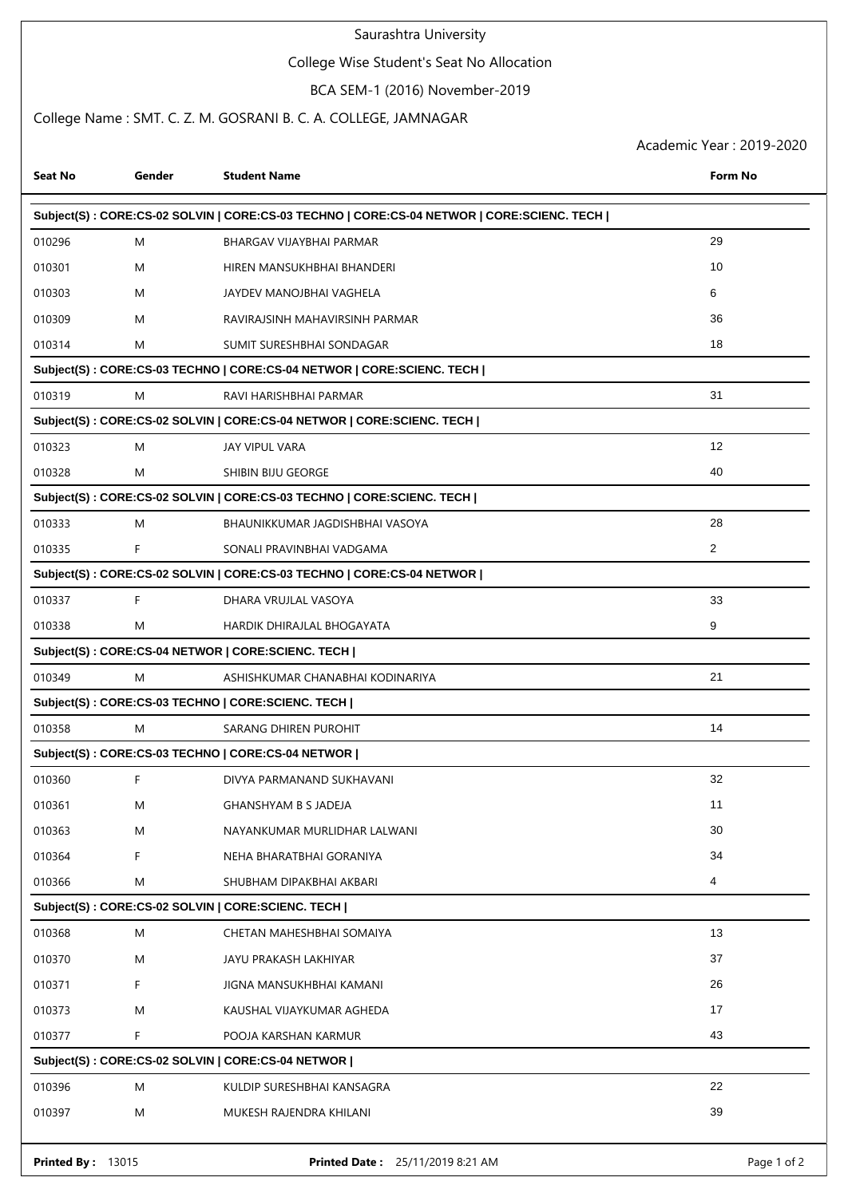## Saurashtra University

# College Wise Student's Seat No Allocation

## BCA SEM-1 (2016) November-2019

#### College Name : SMT. C. Z. M. GOSRANI B. C. A. COLLEGE, JAMNAGAR

Academic Year : 2019-2020

| Seat No                                                               | Gender                                                                                    | <b>Student Name</b>                                                   | <b>Form No</b>    |  |  |  |
|-----------------------------------------------------------------------|-------------------------------------------------------------------------------------------|-----------------------------------------------------------------------|-------------------|--|--|--|
|                                                                       | Subject(S): CORE:CS-02 SOLVIN   CORE:CS-03 TECHNO   CORE:CS-04 NETWOR   CORE:SCIENC. TECH |                                                                       |                   |  |  |  |
| 010296                                                                | M                                                                                         | BHARGAV VIJAYBHAI PARMAR                                              | 29                |  |  |  |
| 010301                                                                | M                                                                                         | HIREN MANSUKHBHAI BHANDERI                                            | 10                |  |  |  |
| 010303                                                                | M                                                                                         | JAYDEV MANOJBHAI VAGHELA                                              | 6                 |  |  |  |
| 010309                                                                | M                                                                                         | RAVIRAJSINH MAHAVIRSINH PARMAR                                        | 36                |  |  |  |
| 010314                                                                | M                                                                                         | SUMIT SURESHBHAI SONDAGAR                                             | 18                |  |  |  |
|                                                                       | Subject(S): CORE:CS-03 TECHNO   CORE:CS-04 NETWOR   CORE:SCIENC. TECH                     |                                                                       |                   |  |  |  |
| 010319                                                                | M                                                                                         | RAVI HARISHBHAI PARMAR                                                | 31                |  |  |  |
| Subject(S): CORE:CS-02 SOLVIN   CORE:CS-04 NETWOR   CORE:SCIENC. TECH |                                                                                           |                                                                       |                   |  |  |  |
| 010323                                                                | M                                                                                         | JAY VIPUL VARA                                                        | $12 \overline{ }$ |  |  |  |
| 010328                                                                | M                                                                                         | SHIBIN BIJU GEORGE                                                    | 40                |  |  |  |
| Subject(S): CORE:CS-02 SOLVIN   CORE:CS-03 TECHNO   CORE:SCIENC. TECH |                                                                                           |                                                                       |                   |  |  |  |
| 010333                                                                | M                                                                                         | BHAUNIKKUMAR JAGDISHBHAI VASOYA                                       | 28                |  |  |  |
| 010335                                                                | F                                                                                         | SONALI PRAVINBHAI VADGAMA                                             | 2                 |  |  |  |
|                                                                       |                                                                                           | Subject(S): CORE:CS-02 SOLVIN   CORE:CS-03 TECHNO   CORE:CS-04 NETWOR |                   |  |  |  |
| 010337                                                                | F                                                                                         | DHARA VRUJLAL VASOYA                                                  | 33                |  |  |  |
| 010338                                                                | M                                                                                         | HARDIK DHIRAJLAL BHOGAYATA                                            | 9                 |  |  |  |
|                                                                       |                                                                                           | Subject(S): CORE:CS-04 NETWOR   CORE:SCIENC. TECH                     |                   |  |  |  |
| 010349                                                                | M                                                                                         | ASHISHKUMAR CHANABHAI KODINARIYA                                      | 21                |  |  |  |
| Subject(S): CORE:CS-03 TECHNO   CORE:SCIENC. TECH                     |                                                                                           |                                                                       |                   |  |  |  |
| 010358                                                                | M                                                                                         | SARANG DHIREN PUROHIT                                                 | 14                |  |  |  |
| Subject(S): CORE:CS-03 TECHNO   CORE:CS-04 NETWOR                     |                                                                                           |                                                                       |                   |  |  |  |
| 010360                                                                | F                                                                                         | DIVYA PARMANAND SUKHAVANI                                             | 32                |  |  |  |
| 010361                                                                | M                                                                                         | <b>GHANSHYAM B S JADEJA</b>                                           | 11                |  |  |  |
| 010363                                                                | M                                                                                         | NAYANKUMAR MURLIDHAR LALWANI                                          | 30                |  |  |  |
| 010364                                                                | F                                                                                         | NEHA BHARATBHAI GORANIYA                                              | 34                |  |  |  |
| 010366                                                                | M                                                                                         | SHUBHAM DIPAKBHAI AKBARI                                              | 4                 |  |  |  |
| Subject(S): CORE:CS-02 SOLVIN   CORE:SCIENC. TECH                     |                                                                                           |                                                                       |                   |  |  |  |
| 010368                                                                | M                                                                                         | CHETAN MAHESHBHAI SOMAIYA                                             | 13                |  |  |  |
| 010370                                                                | M                                                                                         | JAYU PRAKASH LAKHIYAR                                                 | 37                |  |  |  |
| 010371                                                                | F                                                                                         | JIGNA MANSUKHBHAI KAMANI                                              | 26                |  |  |  |
| 010373                                                                | M                                                                                         | KAUSHAL VIJAYKUMAR AGHEDA                                             | 17                |  |  |  |
| 010377                                                                | F                                                                                         | POOJA KARSHAN KARMUR                                                  | 43                |  |  |  |
| Subject(S): CORE:CS-02 SOLVIN   CORE:CS-04 NETWOR                     |                                                                                           |                                                                       |                   |  |  |  |
| 010396                                                                | M                                                                                         | KULDIP SURESHBHAI KANSAGRA                                            | 22                |  |  |  |
| 010397                                                                | M                                                                                         | MUKESH RAJENDRA KHILANI                                               | 39                |  |  |  |
| <b>Printed By: 13015</b>                                              |                                                                                           | <b>Printed Date: 25/11/2019 8:21 AM</b>                               | Page 1 of 2       |  |  |  |